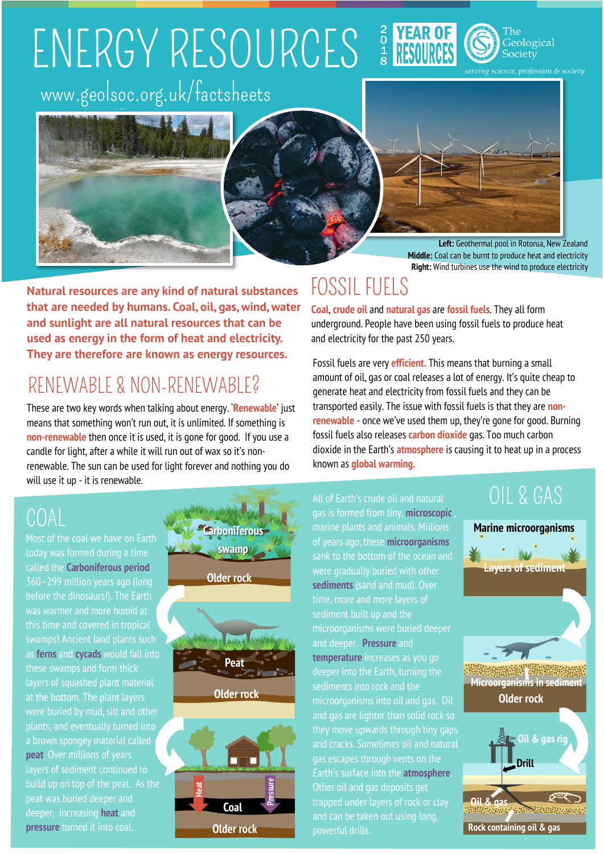## ENERGY RESOURCES 3 YEAR OF www.geolsoc.org.uk/factsheets





**Middle:** Coal can be burnt to produce heat and electricity **Right:** Wind turbines use the wind to produce electricity

**Natural resources are any kind of natural substances that are needed by humans. Coal, oil, gas, wind, water and sunlight are all natural resources that can be used as energy in the form of heat and electricity. They are therefore are known as energy resources.**

#### RENEWABLE & NON-RENEWABLE?

oc.uk/factsheetsheetsheets.

These are two key words when talking about energy. '**Renewable**' just means that something won't run out, it is unlimited. If something is **non-renewable** then once it is used, it is gone for good. If you use a candle for light, after a while it will run out of wax so it's nonrenewable. The sun can be used for light forever and nothing you do will use it up - it is renewable.

#### COAL

Most of the coal we have on Earth today was formed during a time called the **Carboniferous period** before the dinosaurs!). The Earth was warmer and more humid at swamps! Ancient land plants such as **ferns** and **cycads** would fall into these swamps and form thick layers of squashed plant material at the bottom. The plant layers **peat**. Over millions of years build up on top of the peat. As the peat was buried deeper and deeper, increasing **heat** and **pressure** turned it into coal.



#### **seam Older rock**

**Coal** 

#### FOSSIL FUELS

**Coal**, **crude oil** and **natural gas** are **fossil fuels**. They all form underground. People have been using fossil fuels to produce heat and electricity for the past 250 years.

Fossil fuels are very **efficient.** This means that burning a small amount of oil, gas or coal releases a lot of energy. It's quite cheap to generate heat and electricity from fossil fuels and they can be transported easily. The issue with fossil fuels is that they are **nonrenewable** - once we've used them up, they're gone for good. Burning fossil fuels also releases **carbon dioxide** gas. Too much carbon dioxide in the Earth's **atmosphere** is causing it to heat up in a process known as **global warming.**

All of Earth's crude oil and natural gas is formed from tiny, **microscopic** , of years ago, these **microorganisms** sank to the bottom of the ocean and **sediments** (sand and mud). Over time, more and more layers of sediment built up and the microorganisms were buried deeper and deeper. **Pressure** and **temperature** increases as you go sediments into rock and the microorganisms into oil and gas. Oil and gas are lighter than solid rock so they move upwards through tiny gaps and cracks. Sometimes oil and natural gas escapes through vents on the Earth's surface into the **atmosphere**. Other oil and gas deposits get trapped under layers of rock or clay and can be taken out using long, powerful drills.

#### OIL & GAS